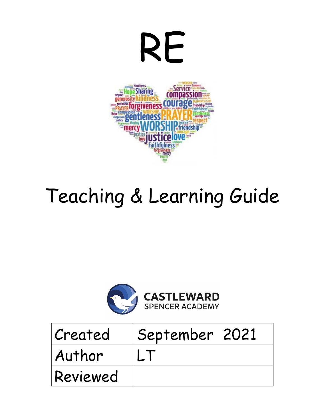

# Teaching & Learning Guide



| Created  | September 2021 |  |
|----------|----------------|--|
| Author   |                |  |
| Reviewed |                |  |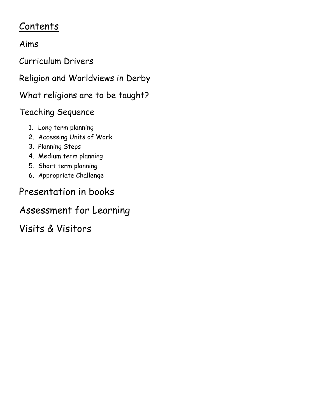# Contents

### Aims

Curriculum Drivers

Religion and Worldviews in Derby

What religions are to be taught?

# Teaching Sequence

- 1. Long term planning
- 2. Accessing Units of Work
- 3. Planning Steps
- 4. Medium term planning
- 5. Short term planning
- 6. Appropriate Challenge

# Presentation in books

# Assessment for Learning

Visits & Visitors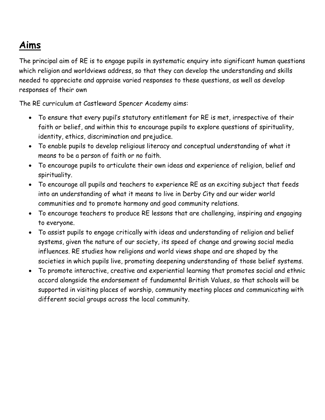# **Aims**

The principal aim of RE is to engage pupils in systematic enquiry into significant human questions which religion and worldviews address, so that they can develop the understanding and skills needed to appreciate and appraise varied responses to these questions, as well as develop responses of their own

The RE curriculum at Castleward Spencer Academy aims:

- To ensure that every pupil's statutory entitlement for RE is met, irrespective of their faith or belief, and within this to encourage pupils to explore questions of spirituality, identity, ethics, discrimination and prejudice.
- To enable pupils to develop religious literacy and conceptual understanding of what it means to be a person of faith or no faith.
- To encourage pupils to articulate their own ideas and experience of religion, belief and spirituality.
- To encourage all pupils and teachers to experience RE as an exciting subject that feeds into an understanding of what it means to live in Derby City and our wider world communities and to promote harmony and good community relations.
- To encourage teachers to produce RE lessons that are challenging, inspiring and engaging to everyone.
- To assist pupils to engage critically with ideas and understanding of religion and belief systems, given the nature of our society, its speed of change and growing social media influences. RE studies how religions and world views shape and are shaped by the societies in which pupils live, promoting deepening understanding of those belief systems.
- To promote interactive, creative and experiential learning that promotes social and ethnic accord alongside the endorsement of fundamental British Values, so that schools will be supported in visiting places of worship, community meeting places and communicating with different social groups across the local community.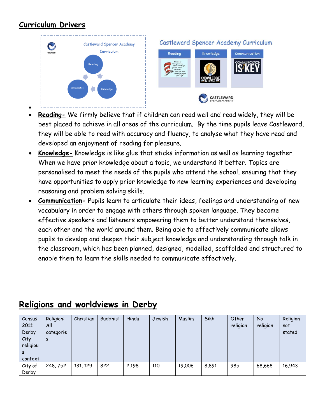#### **Curriculum Drivers**



- **Reading-** We firmly believe that if children can read well and read widely, they will be best placed to achieve in all areas of the curriculum. By the time pupils leave Castleward, they will be able to read with accuracy and fluency, to analyse what they have read and developed an enjoyment of reading for pleasure.
- **Knowledge-** Knowledge is like glue that sticks information as well as learning together. When we have prior knowledge about a topic, we understand it better. Topics are personalised to meet the needs of the pupils who attend the school, ensuring that they have opportunities to apply prior knowledge to new learning experiences and developing reasoning and problem solving skills.
- **Communication-** Pupils learn to articulate their ideas, feelings and understanding of new vocabulary in order to engage with others through spoken language. They become effective speakers and listeners empowering them to better understand themselves, each other and the world around them. Being able to effectively communicate allows pupils to develop and deepen their subject knowledge and understanding through talk in the classroom, which has been planned, designed, modelled, scaffolded and structured to enable them to learn the skills needed to communicate effectively.

| Census<br>2011:<br>Derby<br>City<br>religiou<br>s<br>context | Religion:<br>All<br>categorie<br>S | Christian | <b>Buddhist</b> | Hindu | Jewish | Muslim | Sikh  | Other<br>religion | No<br>religion | Religion<br>not<br>stated |
|--------------------------------------------------------------|------------------------------------|-----------|-----------------|-------|--------|--------|-------|-------------------|----------------|---------------------------|
| City of<br>Derby                                             | 248,752                            | 131, 129  | 822             | 2,198 | 110    | 19,006 | 8,891 | 985               | 68,668         | 16,943                    |

### **Religions and worldviews in Derby**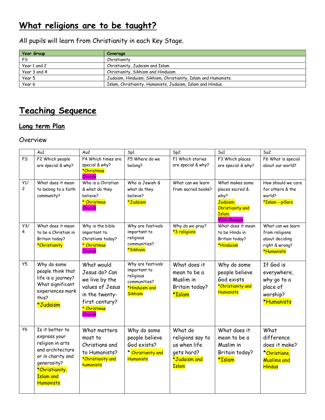# **What religions are to be taught?**

All pupils will learn from Christianity in each Key Stage.

| <b>Year Group</b> | Coverage                                                       |
|-------------------|----------------------------------------------------------------|
| FS                | Christianity                                                   |
| Year 1 and 2      | Christianity, Judaism and Islam                                |
| Year 3 and 4      | Christianity, Sikhism and Hinduism                             |
| Year 5            | Judaism, Hinduism, Sikhism, Christianity, Islam and Humanists. |
| Year 6            | Islam, Christianity, Humanists, Judaism, Islam and Hindus.     |

# **Teaching Sequence**

#### **Long term Plan**

#### Overview

|                     | Au1                                                                                                                                                            | Au <sub>2</sub>                                                                                                               | Sp1                                                                                               | Sp2                                                                                       | Su1                                                                                                                | Su2                                                                                   |
|---------------------|----------------------------------------------------------------------------------------------------------------------------------------------------------------|-------------------------------------------------------------------------------------------------------------------------------|---------------------------------------------------------------------------------------------------|-------------------------------------------------------------------------------------------|--------------------------------------------------------------------------------------------------------------------|---------------------------------------------------------------------------------------|
| <b>FS</b>           | F2 Which people<br>are special & why?                                                                                                                          | F4 Which times are<br>special & why?                                                                                          | F5 Where do we<br>belong?                                                                         | F1 Which stories<br>are special & why?                                                    | F3 Which places<br>are special & why?                                                                              | F6 What is special<br>about our world?                                                |
|                     |                                                                                                                                                                | *Christmas<br>Church                                                                                                          |                                                                                                   |                                                                                           |                                                                                                                    |                                                                                       |
| Y1/<br>$\mathbf{2}$ | What does it mean<br>to belong to a faith<br>community?                                                                                                        | Who is a Christian<br>& what do they<br>believe?<br>* Christmas<br>Church                                                     | Who is Jewish &<br>what do they<br>believe?<br>*Judaism                                           | What can we learn<br>from sacred books?                                                   | What makes some<br>places sacred &<br>why?<br>Judaism,<br><b>Christianity and</b><br>Islam.<br><b>Visit Mosque</b> | How should we care<br>for others & the<br><b>Chlow</b><br>*Islam - pillars            |
| Y3/<br>4            | What does it mean<br>to be a Christian in<br>Britain today?<br>*Christianity                                                                                   | Why is the bible<br>important to<br>Christians today?<br>* Christmas<br>Church                                                | Why are festivals<br>important to<br>religious<br>communities?<br>*Sikhism                        | Why do we pray?<br>*3 religions                                                           | What does it mean<br>to be Hindu in<br>Britain today?<br>*Hinduism                                                 | What can we learn<br>from religions<br>about deciding<br>right & wrong?<br>*Humanists |
| Y5                  | Why do some<br>people think that<br>life is a journey?<br>What significant<br>experiences mark<br>this?<br>*Judaism                                            | What would<br>Jesus do? Can<br>we live by the<br>values of Jesus<br>in the twenty-<br>first century?<br>* Christmas<br>Church | Why are festivals<br>important to<br>religious<br>communities?<br>*Hinduism and<br><b>Sikhism</b> | What does it<br>mean to be a<br>Muslim in<br>Britain today?<br>*Islam                     | Why do some<br>people believe<br>God exists<br>*Christianity and<br><b>Humanists</b>                               | If God is<br>everywhere,<br>why go to a<br>place of<br>worship?<br>*Humanists         |
| <b>Y6</b>           | Is it better to<br>express your<br>religion in arts<br>and architecture<br>or in charity and<br>generosity?<br>*Christianity,<br><b>Islam</b> and<br>Humanists | What matters<br>most to<br>Christians and<br>to Humanists?<br>*Christianity and<br>humanists                                  | Why do some<br>people believe<br>God exists?<br>* Christianity and<br>Humanists                   | What do<br>religions say to<br>us when life<br>gets hard?<br>*Judaism and<br><b>Islam</b> | What does it<br>mean to be a<br>Muslim in<br>Britain today?<br>*Islam                                              | What<br>difference<br>does it make?<br>*Christians,<br>Muslims and<br><b>Hindus</b>   |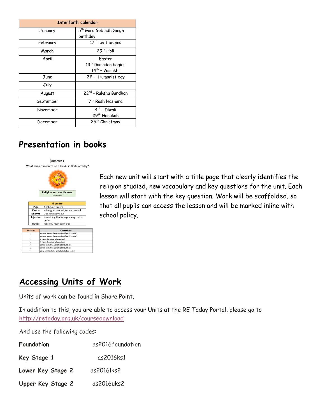| Interfaith calendar |                                    |  |  |  |
|---------------------|------------------------------------|--|--|--|
| January             | 5 <sup>th</sup> Guru Gobindh Singh |  |  |  |
|                     | birthday                           |  |  |  |
| February            | 17 <sup>th</sup> Lent begins       |  |  |  |
| March               | 29 <sup>th</sup> Holi              |  |  |  |
| April               | Faster                             |  |  |  |
|                     | 13 <sup>th</sup> Ramadan begins    |  |  |  |
|                     | 14 <sup>th</sup> - Vaisakhi        |  |  |  |
| June                | 21st - Humanist day                |  |  |  |
| July                |                                    |  |  |  |
| August              | 22 <sup>nd</sup> - Raksha Bandhan  |  |  |  |
| September           | 7th Rosh Hashana                   |  |  |  |
| November            | 4 <sup>th</sup> - Diwali           |  |  |  |
|                     | 29 <sup>th</sup> Hanukah           |  |  |  |
| December            | 25 <sup>th</sup> Christmas         |  |  |  |

### **Presentation in books**



Each new unit will start with a title page that clearly identifies the religion studied, new vocabulary and key questions for the unit. Each lesson will start with the key question. Work will be scaffolded, so that all pupils can access the lesson and will be marked inline with school policy.

### **Accessing Units of Work**

Units of work can be found in Share Point.

In addition to this, you are able to access your Units at the RE Today Portal, please go to <http://retoday.org.uk/coursedownload>

And use the following codes:

| Foundation        | as2016foundation |  |
|-------------------|------------------|--|
| Key Stage 1       | as2016ks1        |  |
| Lower Key Stage 2 | as2016lks2       |  |
| Upper Key Stage 2 | as2016uks2       |  |
|                   |                  |  |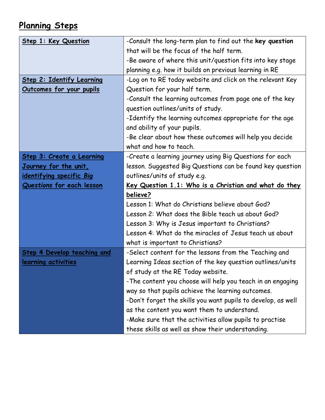# **Planning Steps**

| Step 1: Key Question               | -Consult the long-term plan to find out the key question     |  |  |  |
|------------------------------------|--------------------------------------------------------------|--|--|--|
|                                    | that will be the focus of the half term.                     |  |  |  |
|                                    | -Be aware of where this unit/question fits into key stage    |  |  |  |
|                                    | planning e.g. how it builds on previous learning in RE       |  |  |  |
| <b>Step 2: Identify Learning</b>   | -Log on to RE today website and click on the relevant Key    |  |  |  |
| <u>Outcomes for your pupils</u>    | Question for your half term.                                 |  |  |  |
|                                    | -Consult the learning outcomes from page one of the key      |  |  |  |
|                                    | question outlines/units of study.                            |  |  |  |
|                                    | -Identify the learning outcomes appropriate for the age      |  |  |  |
|                                    | and ability of your pupils.                                  |  |  |  |
|                                    | -Be clear about how these outcomes will help you decide      |  |  |  |
|                                    | what and how to teach.                                       |  |  |  |
| Step 3: Create a Learning          | -Create a learning journey using Big Questions for each      |  |  |  |
| <u>Journey for the unit,</u>       | lesson. Suggested Big Questions can be found key question    |  |  |  |
| <u>identifying specific Big</u>    | outlines/units of study e.g.                                 |  |  |  |
|                                    | <u>Key Question 1.1: Who is a Christian and what do they</u> |  |  |  |
| Questions for each lesson          |                                                              |  |  |  |
|                                    | believe?                                                     |  |  |  |
|                                    | Lesson 1: What do Christians believe about God?              |  |  |  |
|                                    | Lesson 2: What does the Bible teach us about God?            |  |  |  |
|                                    | Lesson 3: Why is Jesus important to Christians?              |  |  |  |
|                                    | Lesson 4: What do the miracles of Jesus teach us about       |  |  |  |
|                                    | what is important to Christians?                             |  |  |  |
| <b>Step 4 Develop teaching and</b> | -Select content for the lessons from the Teaching and        |  |  |  |
| learning activities                | Learning Ideas section of the key question outlines/units    |  |  |  |
|                                    | of study at the RE Today website.                            |  |  |  |
|                                    | -The content you choose will help you teach in an engaging   |  |  |  |
|                                    | way so that pupils achieve the learning outcomes.            |  |  |  |
|                                    | -Don't forget the skills you want pupils to develop, as well |  |  |  |
|                                    | as the content you want them to understand.                  |  |  |  |
|                                    | -Make sure that the activities allow pupils to practise      |  |  |  |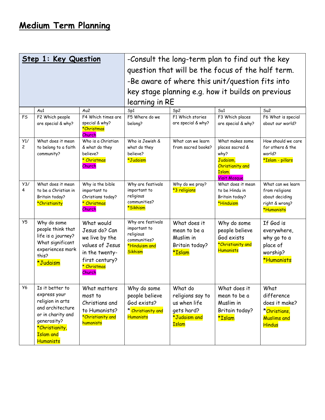|                | Step 1: Key Question                               |                                        | -Consult the long-term plan to find out the key   |                              |                                                                      |                                  |
|----------------|----------------------------------------------------|----------------------------------------|---------------------------------------------------|------------------------------|----------------------------------------------------------------------|----------------------------------|
|                |                                                    |                                        | question that will be the focus of the half term. |                              |                                                                      |                                  |
|                |                                                    |                                        | -Be aware of where this unit/question fits into   |                              |                                                                      |                                  |
|                |                                                    |                                        | key stage planning e.g. how it builds on previous |                              |                                                                      |                                  |
|                |                                                    |                                        | learning in RE                                    |                              |                                                                      |                                  |
|                | Au1                                                | Au <sub>2</sub>                        | Sp1                                               | Sp <sub>2</sub>              | Su1                                                                  | Su2                              |
| F <sub>S</sub> | F2 Which people                                    | F4 Which times are                     | F5 Where do we                                    | F1 Which stories             | F3 Which places                                                      | F6 What is special               |
|                | are special & why?                                 | special & why?<br>*Christmas<br>Church | belong?                                           | are special & why?           | are special & why?                                                   | about our world?                 |
| Y1/            | What does it mean                                  | Who is a Christian                     | Who is Jewish &                                   | What can we learn            | What makes some                                                      | How should we care               |
| $\overline{c}$ | to belong to a faith                               | & what do they<br>believe?             | what do they<br>believe?                          | from sacred books?           | places sacred &<br>why?                                              | for others & the<br>world?       |
|                | community?                                         | * Christmas<br>Church                  | *Judaism                                          |                              | Judaism,<br><b>Christianity</b> and<br>Islam.<br><b>Visit Mosque</b> | <mark>*Islam - pillars</mark>    |
| Y3/            | What does it mean                                  | Why is the bible                       | Why are festivals                                 | Why do we pray?              | What does it mean                                                    | What can we learn                |
| 4              | to be a Christian in<br>Britain today?             | important to<br>Christians today?      | important to<br>religious                         | *3 religions                 | to be Hindu in<br>Britain today?                                     | from religions<br>about deciding |
|                | *Christianity                                      | * Christmas                            | communities?                                      |                              | *Hinduism                                                            | right & wrong?                   |
|                |                                                    | Church                                 | *Sikhism                                          |                              |                                                                      | *Humanists                       |
| Y5             | Why do some                                        | What would                             | Why are festivals                                 | What does it                 | Why do some                                                          | If God is                        |
|                | people think that                                  | Jesus do? Can                          | important to<br>religious                         | mean to be a                 | people believe                                                       | everywhere,                      |
|                | life is a journey?                                 | we live by the                         | communities?                                      | Muslim in                    | God exists                                                           | why go to a                      |
|                | What significant<br>experiences mark               | values of Jesus                        | *Hinduism and                                     | Britain today?               | *Christianity and<br>Humanists                                       | place of                         |
|                | this?                                              | in the twenty-                         | <b>Sikhism</b>                                    | *Islam                       |                                                                      | worship?                         |
|                | *Judaism                                           | first century?<br>* Christmas          |                                                   |                              |                                                                      | *Humanists                       |
|                |                                                    | Church                                 |                                                   |                              |                                                                      |                                  |
|                |                                                    |                                        |                                                   |                              |                                                                      |                                  |
| <b>Y6</b>      | Is it better to                                    | What matters                           | Why do some                                       | What do                      | What does it                                                         | What                             |
|                | express your                                       | most to                                | people believe                                    | religions say to             | mean to be a                                                         | difference                       |
|                | religion in arts<br>and architecture               | Christians and                         | God exists?                                       | us when life                 | Muslim in                                                            | does it make?                    |
|                |                                                    | to Humanists?                          | * Christianity and                                | gets hard?                   | Britain today?                                                       | *Christians,                     |
|                | generosity?                                        | humanists                              |                                                   |                              |                                                                      |                                  |
|                | *Christianity,                                     |                                        |                                                   |                              |                                                                      |                                  |
|                |                                                    |                                        |                                                   |                              |                                                                      |                                  |
|                | or in charity and<br><b>Islam</b> and<br>Humanists | *Christianity and                      | <b>Humanists</b>                                  | *Judaism and<br><b>Islam</b> | *Islam                                                               | <b>Muslims and</b><br>Hindus     |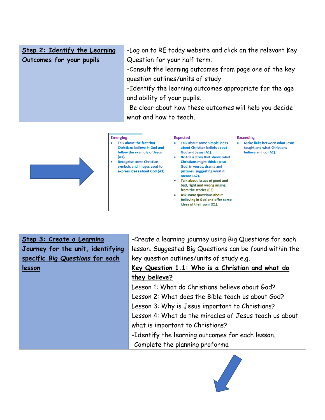| Step 2: Identify the Learning | -Log on to RE today website and click on the relevant Key |
|-------------------------------|-----------------------------------------------------------|
| Outcomes for your pupils      | Question for your half term.                              |
|                               | -Consult the learning outcomes from page one of the key   |
|                               | question outlines/units of study.                         |
|                               | -Identify the learning outcomes appropriate for the age   |
|                               | and ability of your pupils.                               |
|                               | -Be clear about how these outcomes will help you decide   |
|                               | what and how to teach.                                    |

| <b>Emerging</b>                                                                                                                                                                                                              | <b>Expected</b>                                                                                                                                                                                                                                                                                                                                                                                                                 | <b>Exceeding</b>                                                                           |
|------------------------------------------------------------------------------------------------------------------------------------------------------------------------------------------------------------------------------|---------------------------------------------------------------------------------------------------------------------------------------------------------------------------------------------------------------------------------------------------------------------------------------------------------------------------------------------------------------------------------------------------------------------------------|--------------------------------------------------------------------------------------------|
| Talk about the fact that<br>٠<br><b>Christians believe in God and</b><br>follow the example of Jesus<br>(A1).<br><b>Recognise some Christian</b><br>$\bullet$<br>symbols and images used to<br>express ideas about God (A3). | Talk about some simple ideas<br>about Christian beliefs about<br>God and Jesus (A1).<br>Re-tell a story that shows what<br><b>Christians might think about</b><br>God, in words, drama and<br>pictures, suggesting what it<br>means (A2).<br>Talk about issues of good and<br>bad, right and wrong arising<br>from the stories (C3).<br>Ask some questions about<br>believing in God and offer some<br>ideas of their own (C1). | <b>Make links between what Jesus</b><br>taught and what Christians<br>believe and do (A2). |

| Step 3: Create a Learning         | -Create a learning journey using Big Questions for each |  |  |
|-----------------------------------|---------------------------------------------------------|--|--|
| Journey for the unit, identifying | lesson. Suggested Big Questions can be found within the |  |  |
| specific Big Questions for each   | key question outlines/units of study e.g.               |  |  |
| lesson                            | Key Question 1.1: Who is a Christian and what do        |  |  |
|                                   | they believe?                                           |  |  |
|                                   | Lesson 1: What do Christians believe about God?         |  |  |
|                                   | Lesson 2: What does the Bible teach us about God?       |  |  |
|                                   | Lesson 3: Why is Jesus important to Christians?         |  |  |
|                                   | Lesson 4: What do the miracles of Jesus teach us about  |  |  |
|                                   | what is important to Christians?                        |  |  |
|                                   | -Identify the learning outcomes for each lesson.        |  |  |
|                                   | -Complete the planning proforma                         |  |  |

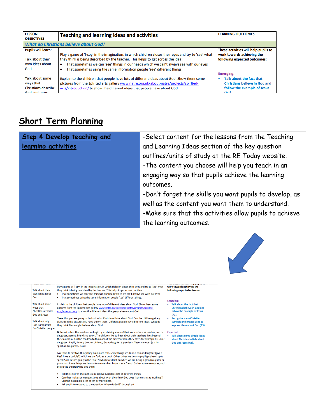| <b>LESSON</b><br><b>OBJECTIVES</b>                                          | <b>Teaching and learning ideas and activities</b>                                                                                                                                                                                                                                                                                                                         | <b>LEARNING OUTCOMES</b>                                                                                                                 |  |  |  |
|-----------------------------------------------------------------------------|---------------------------------------------------------------------------------------------------------------------------------------------------------------------------------------------------------------------------------------------------------------------------------------------------------------------------------------------------------------------------|------------------------------------------------------------------------------------------------------------------------------------------|--|--|--|
|                                                                             | <b>What do Christians believe about God?</b>                                                                                                                                                                                                                                                                                                                              |                                                                                                                                          |  |  |  |
| <b>Pupils will learn:</b><br>Talk about their<br>own ideas about<br>God     | Play a game of 'I-spy' in the imagination, in which children closes their eyes and try to 'see' what<br>they think is being described by the teacher. This helps to get across the idea:<br>That sometimes we can 'see' things in our heads which we can't always see with our eyes<br>۰<br>That sometimes using the same information people 'see' different things.<br>٠ | These activities will help pupils to<br>work towards achieving the<br>following expected outcomes:                                       |  |  |  |
| Talk about some<br>ways that<br><b>Christians describe</b><br>God and Josus | Explain to the children that people have lots of different ideas about God. Show them some<br>pictures from the Spirited arts gallery www.natre.org.uk/about-natre/projects/spirited-<br>arts/introduction/ to show the different ideas that people have about God.                                                                                                       | <b>Emerging:</b><br>Talk about the fact that<br>٠<br><b>Christians believe in God and</b><br>follow the example of Jesus<br>$\mathbf{A}$ |  |  |  |

# **Short Term Planning**

| Step 4 Develop teaching and | -Select content for the lessons from the Teaching       |
|-----------------------------|---------------------------------------------------------|
| learning activities         | and Learning Ideas section of the key question          |
|                             | outlines/units of study at the RE Today website.        |
|                             | -The content you choose will help you teach in an       |
|                             | engaging way so that pupils achieve the learning        |
|                             | outcomes.                                               |
|                             | -Don't forget the skills you want pupils to develop, as |
|                             | well as the content you want them to understand.        |
|                             | -Make sure that the activities allow pupils to achieve  |
|                             | the learning outcomes.                                  |



| www.crew.com                                                                       |                                                                                                                                                                                                                                                                                                                                                                                                                                              | UVAIVIAINO VEINTININ MUMIO VU                                                                            |
|------------------------------------------------------------------------------------|----------------------------------------------------------------------------------------------------------------------------------------------------------------------------------------------------------------------------------------------------------------------------------------------------------------------------------------------------------------------------------------------------------------------------------------------|----------------------------------------------------------------------------------------------------------|
| <b>Talk about their</b><br>own ideas about<br>God                                  | Play a game of 'I-spy' in the imagination, in which children closes their eyes and try to 'see' what<br>they think is being described by the teacher. This helps to get across the idea:<br>That sometimes we can 'see' things in our heads which we can't always see with our eyes<br>That sometimes using the same information people 'see' different things.<br>٠                                                                         | work towards achieving the<br>following expected outcomes:<br><b>Emerging:</b>                           |
| Talk about some<br>ways that<br><b>Christians describe</b><br><b>God and Jesus</b> | Explain to the children that people have lots of different ideas about God. Show them some<br>pictures from the Spirited arts gallery www.natre.org.uk/about-natre/projects/spirited-<br>arts/introduction/ to show the different ideas that people have about God.                                                                                                                                                                          | Talk about the fact that<br><b>Christians believe in God and</b><br>follow the example of Jesus<br>(A1). |
| Talk about why<br>God is important<br>for Christian people                         | Share that you are going to find out what Christians think about God. Can the children get any<br>clues from the pictures you have shown them. Different people have different ideas. What do<br>they think Mary might believe about God.                                                                                                                                                                                                    | <b>Recognise some Christian</b><br>symbols and images used to<br>express ideas about God (A3).           |
|                                                                                    | Different roles: The teacher can begin by explaining some of their own roles - as teacher, son or<br>daughter, parent, friend and so on. The children like to hear about their teachers lives beyond<br>the classroom. Ask the children to think about the different roles they have, for example as; Son /<br>daughter, Pupil, Sister / brother, Friend, Granddaughter / grandson, Team member (e.g. in<br>sport, clubs, games, class)      | <b>Expected:</b><br>Talk about some simple ideas<br>about Christian beliefs about<br>God and Jesus (A1). |
|                                                                                    | Ask them to say two things they do in each role. Some things we do as a son or daughter (give a<br>kiss? have a cuddle?) which we don't do as a pupil. Other things we do as a pupil (put hand up to<br>speak? Ask before going to the toilet?) which we don't do when we are being a granddaughter or<br>grandson. Some things we do as a team member, but not as a friend. Gather some examples, and<br>praise the children who give them. |                                                                                                          |
|                                                                                    | Tell the children that Christians believe God does lots of different things.<br>٠<br>Can they make some suggestions about what they think God does (some may say 'nothing')?<br>٠<br>Can the class make a list of ten or more ideas?                                                                                                                                                                                                         |                                                                                                          |
|                                                                                    | Ask pupils to respond to the question 'Where is God?' through art<br>٠                                                                                                                                                                                                                                                                                                                                                                       |                                                                                                          |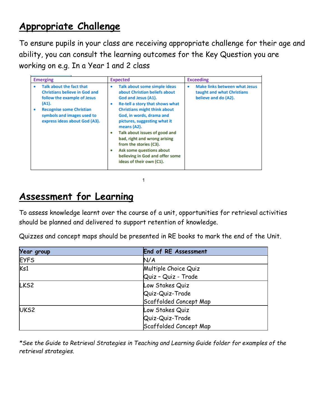# **Appropriate Challenge**

To ensure pupils in your class are receiving appropriate challenge for their age and ability, you can consult the learning outcomes for the Key Question you are working on e.g. In a Year 1 and 2 class

| <b>Emerging</b>                                                                                                                                                                                                      | <b>Expected</b>                                                                                                                                                                                                                                                                                                                                                                                                                                     | <b>Exceeding</b>                                                                         |
|----------------------------------------------------------------------------------------------------------------------------------------------------------------------------------------------------------------------|-----------------------------------------------------------------------------------------------------------------------------------------------------------------------------------------------------------------------------------------------------------------------------------------------------------------------------------------------------------------------------------------------------------------------------------------------------|------------------------------------------------------------------------------------------|
| Talk about the fact that<br>٠<br><b>Christians believe in God and</b><br>follow the example of Jesus<br>(A1).<br><b>Recognise some Christian</b><br>٠<br>symbols and images used to<br>express ideas about God (A3). | Talk about some simple ideas<br>۰<br>about Christian beliefs about<br>God and Jesus (A1).<br>Re-tell a story that shows what<br>۰<br><b>Christians might think about</b><br>God, in words, drama and<br>pictures, suggesting what it<br>means (A2).<br>Talk about issues of good and<br>۰<br>bad, right and wrong arising<br>from the stories (C3).<br>Ask some questions about<br>۰<br>believing in God and offer some<br>ideas of their own (C1). | Make links between what Jesus<br>۰<br>taught and what Christians<br>believe and do (A2). |

1

# **Assessment for Learning**

To assess knowledge learnt over the course of a unit, opportunities for retrieval activities should be planned and delivered to support retention of knowledge.

Quizzes and concept maps should be presented in RE books to mark the end of the Unit.

| <b>Year group</b> | <b>End of RE Assessment</b> |
|-------------------|-----------------------------|
| <b>EYFS</b>       | N/A                         |
| Ks1               | Multiple Choice Quiz        |
|                   | Quiz - Quiz - Trade         |
| LKS <sub>2</sub>  | Low Stakes Quiz             |
|                   | Quiz-Quiz-Trade             |
|                   | Scaffolded Concept Map      |
| UKS <sub>2</sub>  | Low Stakes Quiz             |
|                   | Quiz-Quiz-Trade             |
|                   | Scaffolded Concept Map      |

*\*See the Guide to Retrieval Strategies in Teaching and Learning Guide folder for examples of the retrieval strategies.*